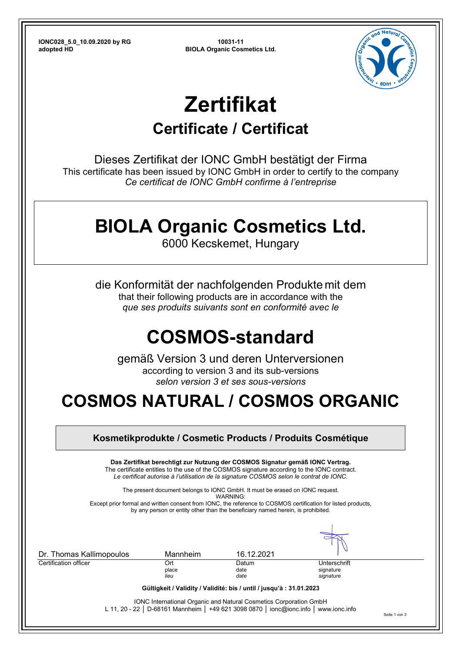**IONC028\_5.0\_10.09.2020 by RG 10031-11 adopted HD BIOLA Organic Cosmetics Ltd.**



# **Zertifikat**

### **Certificate / Certificat**

Dieses Zertifikat der IONC GmbH bestätigt der Firma This certificate has been issued by IONC GmbH in order to certify to the company *Ce certificat de IONC GmbH confirme à l'entreprise*

### **BIOLA Organic Cosmetics Ltd.**

6000 Kecskemet, Hungary

die Konformität der nachfolgenden Produkte mit dem that their following products are in accordance with the *que ses produits suivants sont en conformité avec le*

## **COSMOS-standard**

gemäß Version 3 und deren Unterversionen according to version 3 and its sub-versions *selon version 3 et ses sous-versions* 

### **COSMOS NATURAL / COSMOS ORGANIC**

|                          |                      | Das Zertifikat berechtigt zur Nutzung der COSMOS Signatur gemäß IONC Vertrag.<br>The certificate entitles to the use of the COSMOS signature according to the IONC contract.<br>Le certificat autorise à l'utilisation de la signature COSMOS selon le contrat de IONC. |                                        |  |
|--------------------------|----------------------|-------------------------------------------------------------------------------------------------------------------------------------------------------------------------------------------------------------------------------------------------------------------------|----------------------------------------|--|
|                          |                      | The present document belongs to IONC GmbH. It must be erased on IONC request.<br>WARNING:<br>Except prior formal and written consent from IONC, the reference to COSMOS certification for listed products,                                                              |                                        |  |
|                          |                      | by any person or entity other than the beneficiary named herein, is prohibited.                                                                                                                                                                                         |                                        |  |
| Dr. Thomas Kallimopoulos | Mannheim             | 16.12.2021                                                                                                                                                                                                                                                              |                                        |  |
| Certification officer    | Ort<br>place<br>lieu | Datum<br>date<br>date                                                                                                                                                                                                                                                   | Unterschrift<br>signature<br>signature |  |
|                          |                      | Gültigkeit / Validity / Validité: bis / until / jusqu'à : 31.01.2023                                                                                                                                                                                                    |                                        |  |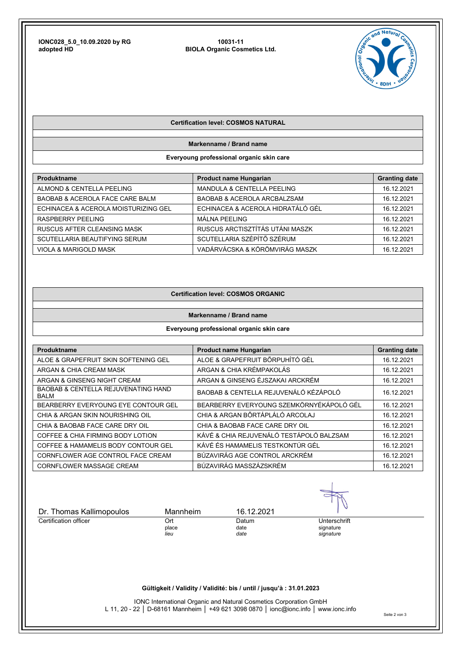**IONC028\_5.0\_10.09.2020 by RG 10031-11 adopted HD BIOLA Organic Cosmetics Ltd.**



#### **Certification level: COSMOS NATURAL**

**Markenname / Brand name** 

**Everyoung professional organic skin care** 

| <b>Produktname</b>                   | <b>Product name Hungarian</b>          | <b>Granting date</b> |
|--------------------------------------|----------------------------------------|----------------------|
| ALMOND & CENTELLA PEELING            | <b>MANDULA &amp; CENTELLA PEELING</b>  | 16.12.2021           |
| BAOBAB & ACEROLA FACE CARE BALM      | <b>BAOBAB &amp; ACEROLA ARCBALZSAM</b> | 16.12.2021           |
| ECHINACEA & ACEROLA MOISTURIZING GEL | ECHINACEA & ACEROLA HIDRATÁLÓ GÉL      | 16.12.2021           |
| RASPBERRY PEELING                    | MÁLNA PEELING                          | 16.12.2021           |
| RUSCUS AFTER CLEANSING MASK          | RUSCUS ARCTISZTÍTÁS UTÁNI MASZK        | 16.12.2021           |
| SCUTELLARIA BEAUTIFYING SERUM        | SCUTELLARIA SZÉPÍTŐ SZÉRUM             | 16.12.2021           |
| <b>VIOLA &amp; MARIGOLD MASK</b>     | VADÁRVÁCSKA & KÖRÖMVIRÁG MASZK         | 16.12.2021           |

#### **Certification level: COSMOS ORGANIC**

#### **Markenname / Brand name**

#### **Everyoung professional organic skin care**

| Produktname                                                   | Product name Hungarian                   | <b>Granting date</b> |
|---------------------------------------------------------------|------------------------------------------|----------------------|
| ALOE & GRAPEFRUIT SKIN SOFTENING GEL                          | ALOE & GRAPEFRUIT BŐRPUHÍTÓ GÉL          | 16.12.2021           |
| ARGAN & CHIA CREAM MASK                                       | ARGAN & CHIA KRÉMPAKOLÁS                 | 16.12.2021           |
| ARGAN & GINSENG NIGHT CREAM                                   | ARGAN & GINSENG ÉJSZAKAI ARCKRÉM         | 16.12.2021           |
| <b>BAOBAB &amp; CENTELLA REJUVENATING HAND</b><br><b>BALM</b> | BAOBAB & CENTELLA REJUVENÁLÓ KÉZÁPOLÓ    | 16.12.2021           |
| BEARBERRY EVERYOUNG EYE CONTOUR GEL                           | BEARBERRY EVERYOUNG SZEMKÖRNYÉKÁPOLÓ GÉL | 16.12.2021           |
| CHIA & ARGAN SKIN NOURISHING OIL                              | CHIA & ARGAN BŐRTÁPLÁLÓ ARCOLAJ          | 16.12.2021           |
| CHIA & BAOBAB FACE CARE DRY OIL                               | CHIA & BAOBAB FACE CARE DRY OIL          | 16.12.2021           |
| COFFEE & CHIA FIRMING BODY LOTION                             | KÁVÉ & CHIA REJUVENÁLÓ TESTÁPOLÓ BALZSAM | 16.12.2021           |
| COFFEE & HAMAMELIS BODY CONTOUR GEL                           | KÁVÉ ÉS HAMAMELIS TESTKONTÚR GÉL         | 16.12.2021           |
| CORNFLOWER AGE CONTROL FACE CREAM                             | BÚZAVIRÁG AGE CONTROL ARCKRÉM            | 16.12.2021           |
| <b>CORNFLOWER MASSAGE CREAM</b>                               | BÚZAVIRÁG MASSZÁZSKRÉM                   | 16.12.2021           |

| Dr. Thomas Kallimopoulos | Mannheim | 16.12.2021 |              |
|--------------------------|----------|------------|--------------|
| Certification officer    | Ort      | Datum      | Unterschrift |
|                          | place    | date       | signature    |
|                          | lieu     | date       | signature    |

**Gültigkeit / Validity / Validité: bis / until / jusqu'à : 31.01.2023** 

IONC International Organic and Natural Cosmetics Corporation GmbH L 11, 20 - 22 │ D-68161 Mannheim │ +49 621 3098 0870 │ ionc@ionc.info │ www.ionc.info